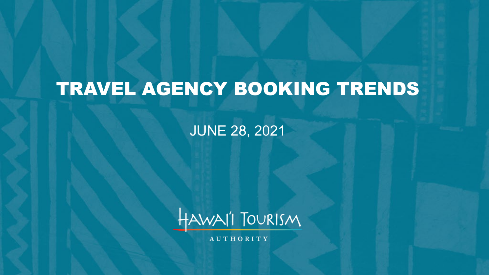# TRAVEL AGENCY BOOKING TRENDS

JUNE 28, 2021



**AUTHORITY**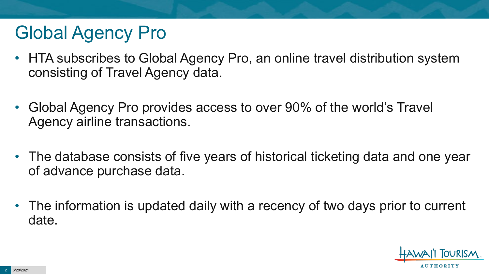# Global Agency Pro

- HTA subscribes to Global Agency Pro, an online travel distribution system consisting of Travel Agency data.
- Global Agency Pro provides access to over 90% of the world's Travel Agency airline transactions.
- The database consists of five years of historical ticketing data and one year of advance purchase data.
- The information is updated daily with a recency of two days prior to current date.

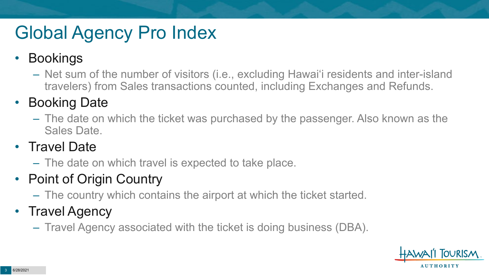# Global Agency Pro Index

#### • Bookings

– Net sum of the number of visitors (i.e., excluding Hawai'i residents and inter-island travelers) from Sales transactions counted, including Exchanges and Refunds.

#### • Booking Date

– The date on which the ticket was purchased by the passenger. Also known as the Sales Date.

#### • Travel Date

– The date on which travel is expected to take place.

#### • Point of Origin Country

– The country which contains the airport at which the ticket started.

#### • Travel Agency

– Travel Agency associated with the ticket is doing business (DBA).

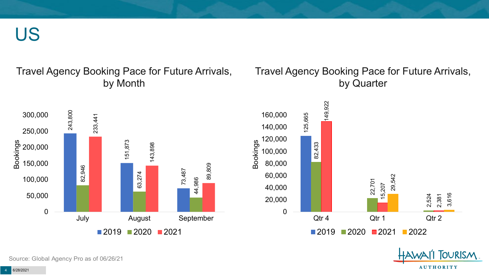US

#### Travel Agency Booking Pace for Future Arrivals, by Month

#### Travel Agency Booking Pace for Future Arrivals, by Quarter

OURISM.

**AUTHORITY** 



Source: Global Agency Pro as of 06/26/21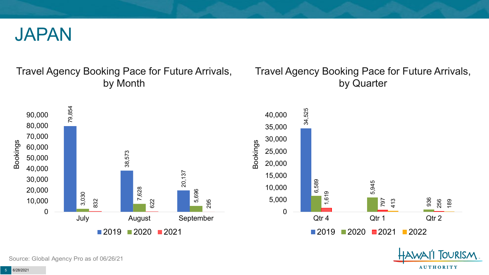

#### Travel Agency Booking Pace for Future Arrivals, by Month

#### Travel Agency Booking Pace for Future Arrivals, by Quarter

**OURISM** 

**AUTHORITY** 



Source: Global Agency Pro as of 06/26/21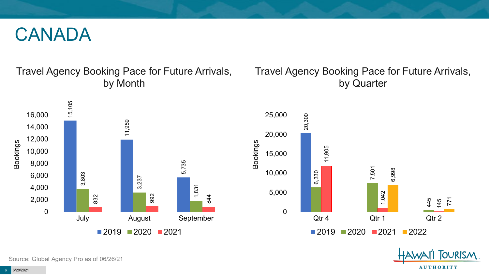#### CANADA

#### Travel Agency Booking Pace for Future Arrivals, by Month

#### Travel Agency Booking Pace for Future Arrivals, by Quarter





**FOURISM** 

**AUTHORITY**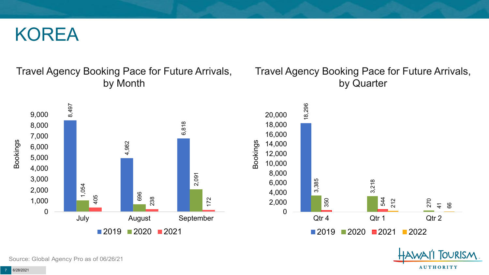#### KOREA

#### Travel Agency Booking Pace for Future Arrivals, by Month

#### Travel Agency Booking Pace for Future Arrivals, by Quarter

**FOURISM** 

**AUTHORITY** 



Source: Global Agency Pro as of 06/26/21

6/28/2021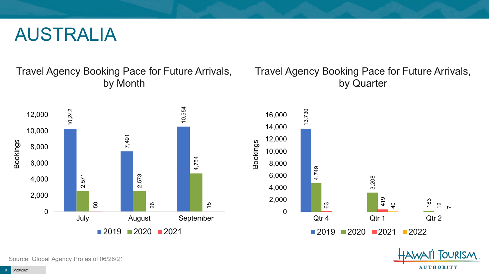#### AUSTRALIA

Travel Agency Booking Pace for Future Arrivals, by Month



#### Travel Agency Booking Pace for Future Arrivals, by Quarter



OURISM.

**AUTHORITY** 

Source: Global Agency Pro as of 06/26/21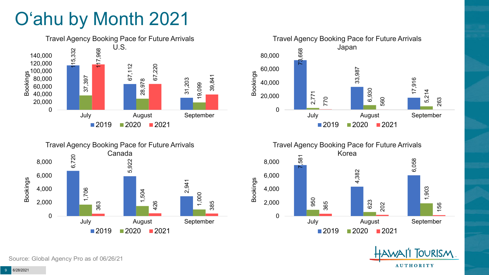# O'ahu by Month 2021











Source: Global Agency Pro as of 06/26/21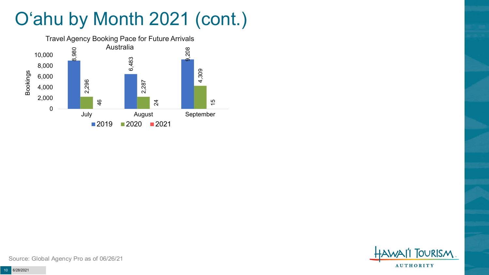# O'ahu by Month 2021 (cont.)



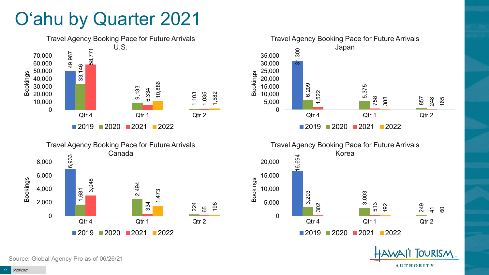### O'ahu by Quarter 2021









**TOURISM AUTHORITY** 

Source: Global Agency Pro as of 06/26/21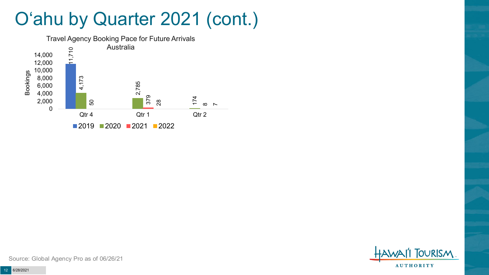### O'ahu by Quarter 2021 (cont.)



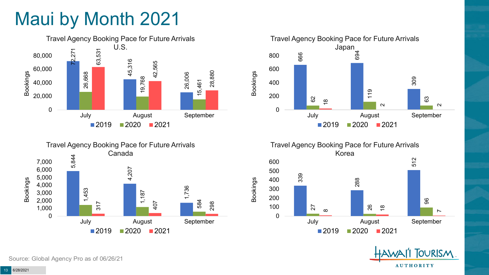# Maui by Month 2021







Travel Agency Booking Pace for Future Arrivals Korea 339 288 512 27 26 96  $\infty$  $\frac{8}{1}$  $\sim$ 0 100 200 300 400 500 600 July August September  $2019$  2020 2021

Bookings



Source: Global Agency Pro as of 06/26/21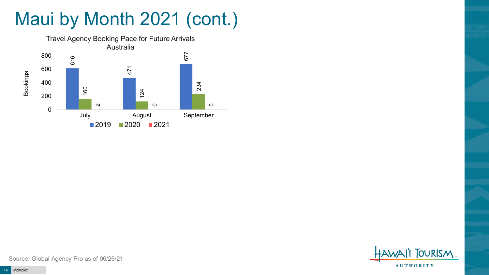# Maui by Month 2021 (cont.)



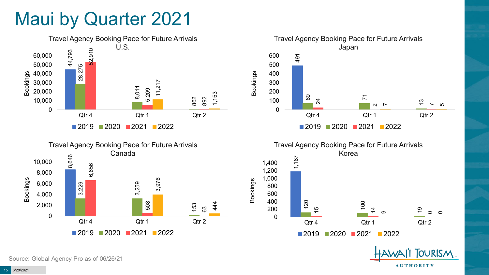### Maui by Quarter 2021





Travel Agency Booking Pace for Future Arrivals Japan 491 69  $\overline{7}$ 24 2<br>2<br>2 13 75 0 100 200 300 400 500 600 Qtr 4 Qtr 1 Qtr 2 Bookings ■2019 ■2020 ■2021 ■2022



**TOURISM** 

**AUTHORITY** 

Source: Global Agency Pro as of 06/26/21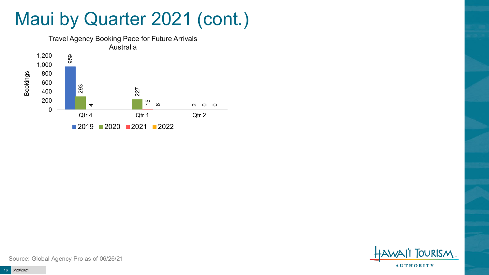### Maui by Quarter 2021 (cont.)



**OURISM AUTHORITY**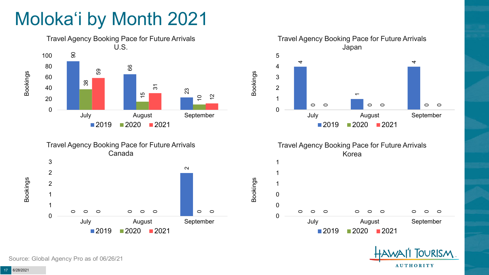# Moloka'i by Month 2021









Bookings





Source: Global Agency Pro as of 06/26/21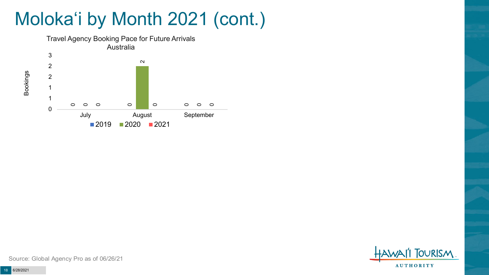# Moloka'i by Month 2021 (cont.)



**TOURISM AUTHORITY** 

Source: Global Agency Pro as of 06/26/21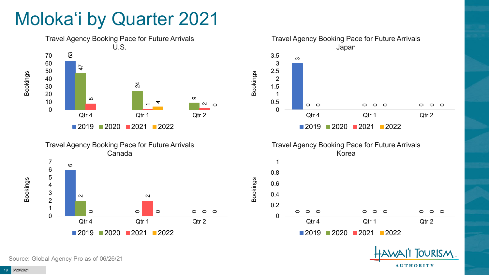## Moloka'i by Quarter 2021







2020 2021 2022

**OURISM** 

**AUTHORITY** 

Source: Global Agency Pro as of 06/26/21

6/28/2021

Bookings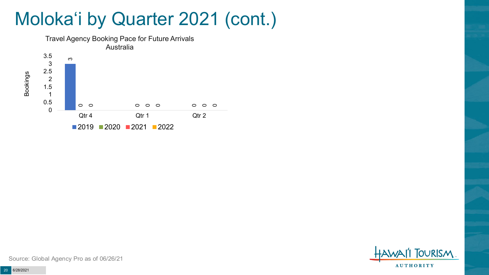### Moloka'i by Quarter 2021 (cont.)





Source: Global Agency Pro as of 06/26/21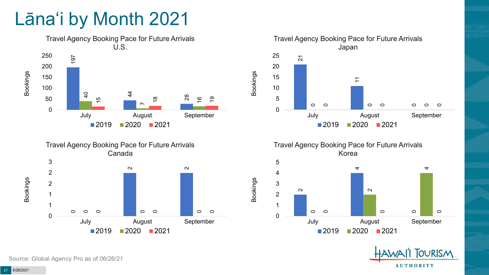## Lāna'i by Month 2021







Travel Agency Booking Pace for Future Arrivals Korea

Bookings





Source: Global Agency Pro as of 06/26/21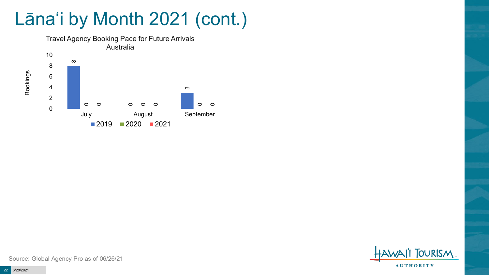# Lāna'i by Month 2021 (cont.)



**TOURISM AUTHORITY** 

Source: Global Agency Pro as of 06/26/21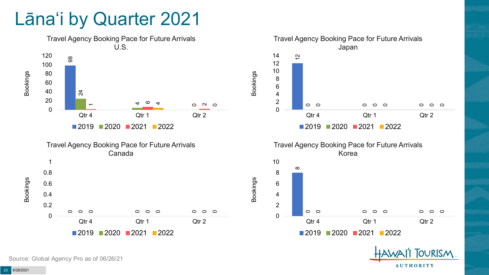#### Lāna'i by Quarter 2021



**OURISM** 

**AUTHORITY** 

Source: Global Agency Pro as of 06/26/21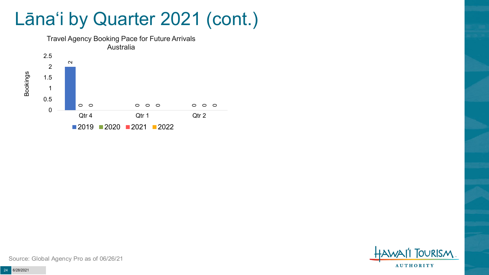### Lāna'i by Quarter 2021 (cont.)





Source: Global Agency Pro as of 06/26/21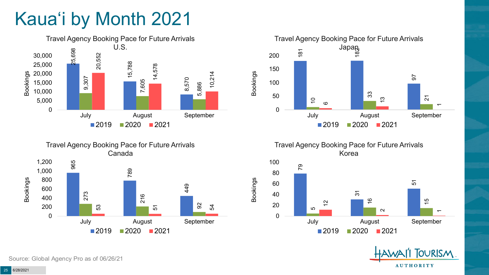# Kaua'i by Month 2021





Travel Agency Booking Pace for Future Arrivals



Travel Agency Booking Pace for Future Arrivals Korea

Bookings





Source: Global Agency Pro as of 06/26/21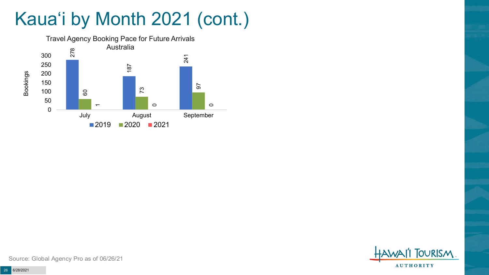# Kaua'i by Month 2021 (cont.)



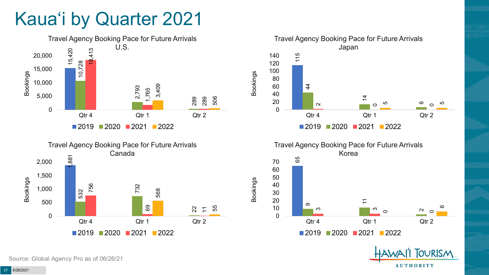### Kaua'i by Quarter 2021





Travel Agency Booking Pace for Future Arrivals Japan 115  $\frac{4}{4}$  $\overline{4}$  $\sim$ ဖ  $\circ$  $\circ$ ഥ ഥ 0 20 40 60 80 100 120 140 Qtr 4 Qtr 1 Qtr 2 ■2019 2020 2021 2022

Bookings



**FOURISM** 

**AUTHORITY** 

Source: Global Agency Pro as of 06/26/21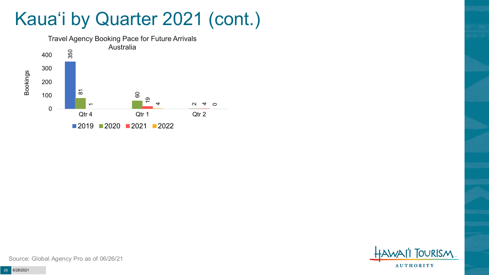### Kaua'i by Quarter 2021 (cont.)



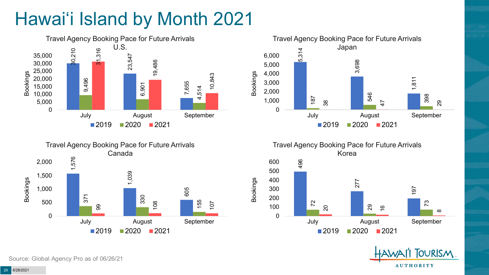# Hawai'i Island by Month 2021







Travel Agency Booking Pace for Future Arrivals Korea 496 600

Bookings



**TOURISM AUTHORITY** 

Source: Global Agency Pro as of 06/26/21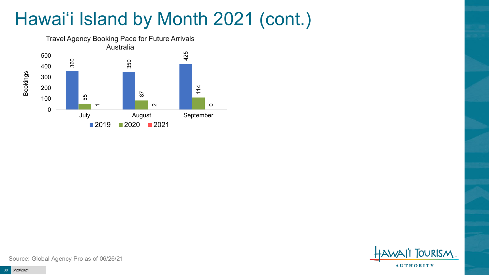# Hawai'i Island by Month 2021 (cont.)



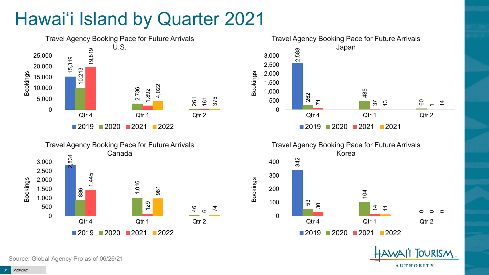# Hawai'i Island by Quarter 2021









**FOURISM** 

**AUTHORITY** 

Source: Global Agency Pro as of 06/26/21